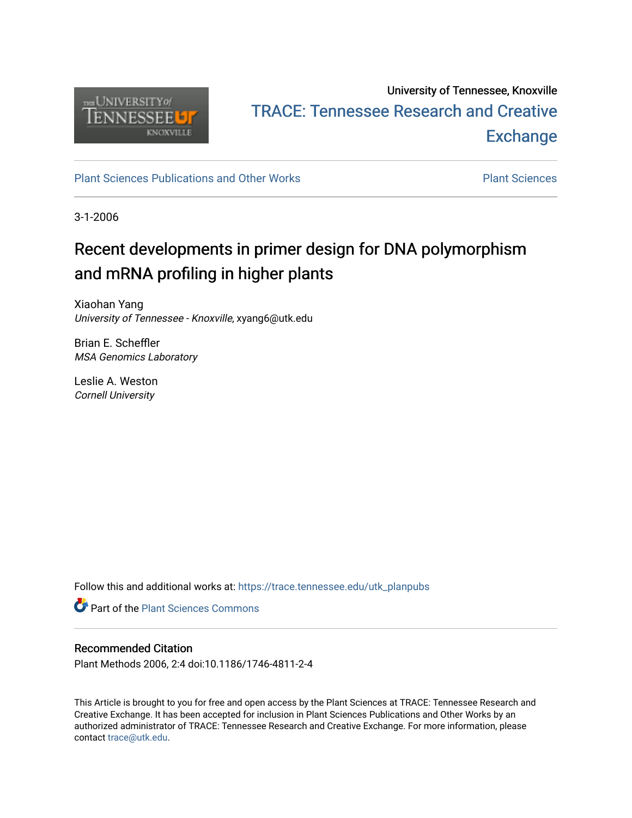

# University of Tennessee, Knoxville TRACE: T[ennessee Research and Cr](https://trace.tennessee.edu/)eative **Exchange**

# [Plant Sciences Publications and Other Works](https://trace.tennessee.edu/utk_planpubs) **Plant Sciences** Plant Sciences

3-1-2006

# Recent developments in primer design for DNA polymorphism and mRNA profiling in higher plants

Xiaohan Yang University of Tennessee - Knoxville, xyang6@utk.edu

Brian E. Scheffler MSA Genomics Laboratory

Leslie A. Weston Cornell University

Follow this and additional works at: [https://trace.tennessee.edu/utk\\_planpubs](https://trace.tennessee.edu/utk_planpubs?utm_source=trace.tennessee.edu%2Futk_planpubs%2F54&utm_medium=PDF&utm_campaign=PDFCoverPages) 

**Part of the [Plant Sciences Commons](https://network.bepress.com/hgg/discipline/102?utm_source=trace.tennessee.edu%2Futk_planpubs%2F54&utm_medium=PDF&utm_campaign=PDFCoverPages)** 

# Recommended Citation

Plant Methods 2006, 2:4 doi:10.1186/1746-4811-2-4

This Article is brought to you for free and open access by the Plant Sciences at TRACE: Tennessee Research and Creative Exchange. It has been accepted for inclusion in Plant Sciences Publications and Other Works by an authorized administrator of TRACE: Tennessee Research and Creative Exchange. For more information, please contact [trace@utk.edu](mailto:trace@utk.edu).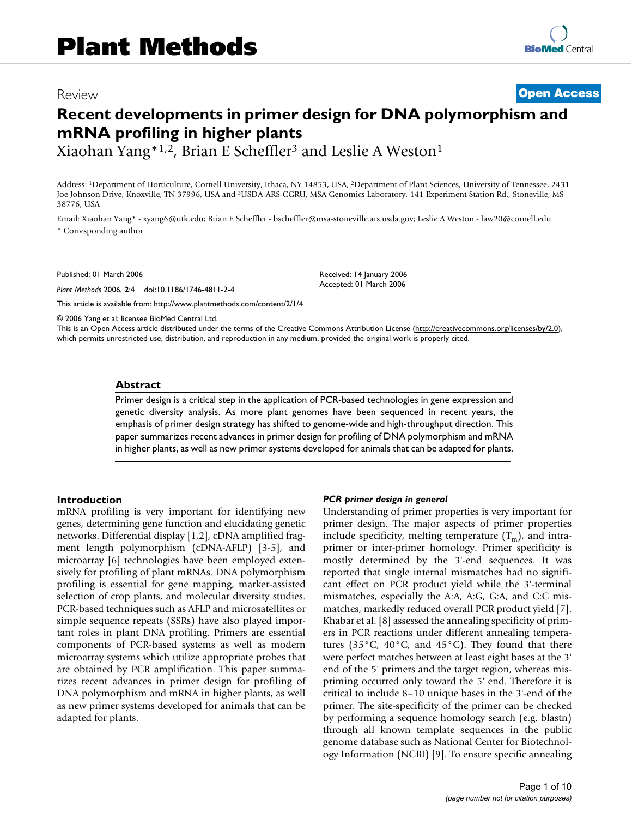# Review **[Open Access](http://www.biomedcentral.com/info/about/charter/)**

# **Recent developments in primer design for DNA polymorphism and mRNA profiling in higher plants**

Xiaohan Yang\*1,2, Brian E Scheffler3 and Leslie A Weston1

Address: 1Department of Horticulture, Cornell University, Ithaca, NY 14853, USA, 2Department of Plant Sciences, University of Tennessee, 2431 Joe Johnson Drive, Knoxville, TN 37996, USA and 3USDA-ARS-CGRU, MSA Genomics Laboratory, 141 Experiment Station Rd., Stoneville, MS 38776, USA

Email: Xiaohan Yang\* - xyang6@utk.edu; Brian E Scheffler - bscheffler@msa-stoneville.ars.usda.gov; Leslie A Weston - law20@cornell.edu \* Corresponding author

Published: 01 March 2006

*Plant Methods* 2006, **2**:4 doi:10.1186/1746-4811-2-4

[This article is available from: http://www.plantmethods.com/content/2/1/4](http://www.plantmethods.com/content/2/1/4)

© 2006 Yang et al; licensee BioMed Central Ltd.

This is an Open Access article distributed under the terms of the Creative Commons Attribution License [\(http://creativecommons.org/licenses/by/2.0\)](http://creativecommons.org/licenses/by/2.0), which permits unrestricted use, distribution, and reproduction in any medium, provided the original work is properly cited.

Received: 14 January 2006 Accepted: 01 March 2006

#### **Abstract**

Primer design is a critical step in the application of PCR-based technologies in gene expression and genetic diversity analysis. As more plant genomes have been sequenced in recent years, the emphasis of primer design strategy has shifted to genome-wide and high-throughput direction. This paper summarizes recent advances in primer design for profiling of DNA polymorphism and mRNA in higher plants, as well as new primer systems developed for animals that can be adapted for plants.

#### **Introduction**

mRNA profiling is very important for identifying new genes, determining gene function and elucidating genetic networks. Differential display [1,2], cDNA amplified fragment length polymorphism (cDNA-AFLP) [3-5], and microarray [6] technologies have been employed extensively for profiling of plant mRNAs. DNA polymorphism profiling is essential for gene mapping, marker-assisted selection of crop plants, and molecular diversity studies. PCR-based techniques such as AFLP and microsatellites or simple sequence repeats (SSRs) have also played important roles in plant DNA profiling. Primers are essential components of PCR-based systems as well as modern microarray systems which utilize appropriate probes that are obtained by PCR amplification. This paper summarizes recent advances in primer design for profiling of DNA polymorphism and mRNA in higher plants, as well as new primer systems developed for animals that can be adapted for plants.

#### *PCR primer design in general*

Understanding of primer properties is very important for primer design. The major aspects of primer properties include specificity, melting temperature  $(T_m)$ , and intraprimer or inter-primer homology. Primer specificity is mostly determined by the 3'-end sequences. It was reported that single internal mismatches had no significant effect on PCR product yield while the 3'-terminal mismatches, especially the A:A, A:G, G:A, and C:C mismatches, markedly reduced overall PCR product yield [7]. Khabar et al. [8] assessed the annealing specificity of primers in PCR reactions under different annealing temperatures (35 $\degree$ C, 40 $\degree$ C, and 45 $\degree$ C). They found that there were perfect matches between at least eight bases at the 3' end of the 5' primers and the target region, whereas mispriming occurred only toward the 5' end. Therefore it is critical to include 8–10 unique bases in the 3'-end of the primer. The site-specificity of the primer can be checked by performing a sequence homology search (e.g. blastn) through all known template sequences in the public genome database such as National Center for Biotechnology Information (NCBI) [9]. To ensure specific annealing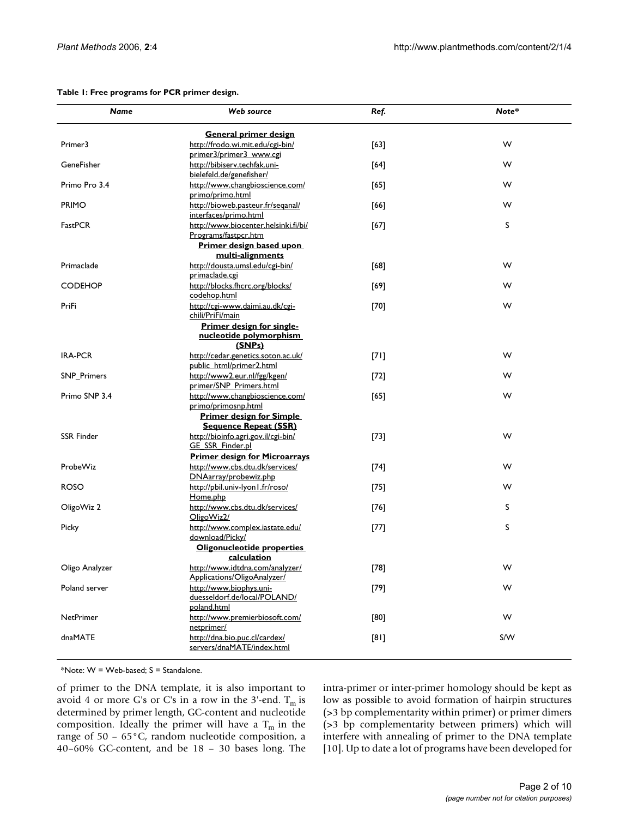|  |  |  | Table 1: Free programs for PCR primer design. |  |  |  |  |
|--|--|--|-----------------------------------------------|--|--|--|--|
|--|--|--|-----------------------------------------------|--|--|--|--|

| Name              | Web source                                                                                                   | Ref.   | Note* |
|-------------------|--------------------------------------------------------------------------------------------------------------|--------|-------|
|                   | <b>General primer design</b>                                                                                 |        |       |
| Primer3           | http://frodo.wi.mit.edu/cgi-bin/<br>primer3/primer3 www.cgi                                                  | [63]   | W     |
| GeneFisher        | http://bibiserv.techfak.uni-<br>bielefeld.de/genefisher/                                                     | [64]   | W     |
| Primo Pro 3.4     | http://www.changbioscience.com/<br>primo/primo.html                                                          | [65]   | W     |
| PRIMO             | http://bioweb.pasteur.fr/seqanal/<br>interfaces/primo.html                                                   | [66]   | W     |
| <b>FastPCR</b>    | http://www.biocenter.helsinki.fi/bi/<br>Programs/fastpcr.htm<br>Primer design based upon<br>multi-alignments | [67]   | S     |
| Primaclade        | http://dousta.umsl.edu/cgi-bin/<br>primaclade.cgi                                                            | $[68]$ | W     |
| <b>CODEHOP</b>    | http://blocks.fhcrc.org/blocks/<br>codehop.html                                                              | [69]   | W     |
| PriFi             | http://cgi-www.daimi.au.dk/cgi-<br>chili/PriFi/main<br>Primer design for single-                             | $[70]$ | W     |
|                   | nucleotide polymorphism<br>(SNPs)                                                                            |        |       |
| <b>IRA-PCR</b>    | http://cedar.genetics.soton.ac.uk/<br>public_html/primer2.html                                               | $[7]$  | W     |
| SNP_Primers       | http://www2.eur.nl/fgg/kgen/<br>primer/SNP Primers.html                                                      | $[72]$ | W     |
| Primo SNP 3.4     | http://www.changbioscience.com/<br>primo/primosnp.html<br>Primer design for Simple                           | [65]   | W     |
| <b>SSR Finder</b> | <b>Sequence Repeat (SSR)</b><br>http://bioinfo.agri.gov.il/cgi-bin/<br><b>GE_SSR_Finder.pl</b>               | $[73]$ | W     |
| ProbeWiz          | <b>Primer design for Microarrays</b><br>http://www.cbs.dtu.dk/services/<br>DNAarray/probewiz.php             | $[74]$ | W     |
| <b>ROSO</b>       | http://pbil.univ-lyon I.fr/roso/<br>Home.php                                                                 | $[75]$ | W     |
| OligoWiz 2        | http://www.cbs.dtu.dk/services/<br>OligoWiz2/                                                                | $[76]$ | S     |
| Picky             | http://www.complex.iastate.edu/<br>download/Picky/                                                           | $[77]$ | S     |
|                   | Oligonucleotide properties<br>calculation                                                                    |        |       |
| Oligo Analyzer    | http://www.idtdna.com/analyzer/<br>Applications/OligoAnalyzer/                                               | $[78]$ | W     |
| Poland server     | http://www.biophys.uni-<br>duesseldorf.de/local/POLAND/<br>poland.html                                       | $[79]$ | W     |
| <b>NetPrimer</b>  | http://www.premierbiosoft.com/<br>netprimer/                                                                 | [80]   | W     |
| dnaMATE           | http://dna.bio.puc.cl/cardex/<br>servers/dnaMATE/index.html                                                  | [8]    | S/W   |

\*Note: W = Web-based; S = Standalone.

of primer to the DNA template, it is also important to avoid 4 or more G's or C's in a row in the 3'-end.  $T_m$  is determined by primer length, GC-content and nucleotide composition. Ideally the primer will have a  $T_m$  in the range of 50 – 65°C, random nucleotide composition, a 40–60% GC-content, and be 18 – 30 bases long. The intra-primer or inter-primer homology should be kept as low as possible to avoid formation of hairpin structures (>3 bp complementarity within primer) or primer dimers (>3 bp complementarity between primers) which will interfere with annealing of primer to the DNA template [10]. Up to date a lot of programs have been developed for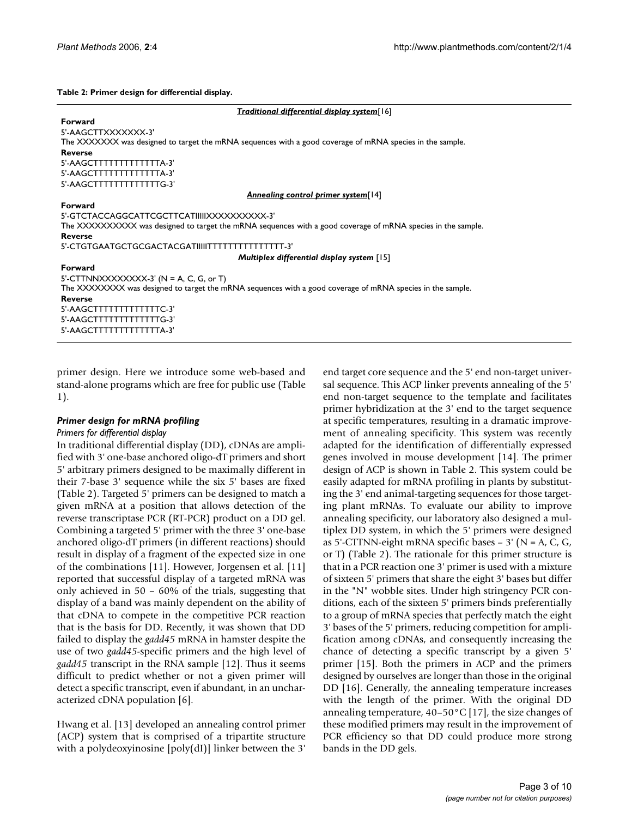#### **Table 2: Primer design for differential display.**

#### *Traditional differential display system*[16]

#### **Forward**

5'-AAGCTTXXXXXXX-3' The XXXXXXX was designed to target the mRNA sequences with a good coverage of mRNA species in the sample. **Reverse** 5'-AAGCTTTTTTTTTTTTTA-3' 5'-AAGCTTTTTTTTTTTTTA-3' 5'-AAGCTTTTTTTTTTTTTG-3' *Annealing control primer system*[14]

#### **Forward**

5'-GTCTACCAGGCATTCGCTTCATIIIIIXXXXXXXXXX-3' The XXXXXXXXXX was designed to target the mRNA sequences with a good coverage of mRNA species in the sample. **Reverse** 5'-CTGTGAATGCTGCGACTACGATIIIIITTTTTTTTTTTTTTT-3' *Multiplex differential display system* [15] **Forward**  $5'$ -CTTNNXXXXXXXX-3' (N = A, C, G, or T) The XXXXXXXX was designed to target the mRNA sequences with a good coverage of mRNA species in the sample. **Reverse** 5'-AAGCTTTTTTTTTTTTTC-3'

5'-AAGCTTTTTTTTTTTTTG-3' 5'-AAGCTTTTTTTTTTTTTA-3'

primer design. Here we introduce some web-based and stand-alone programs which are free for public use (Table 1).

# *Primer design for mRNA profiling*

#### *Primers for differential display*

In traditional differential display (DD), cDNAs are amplified with 3' one-base anchored oligo-dT primers and short 5' arbitrary primers designed to be maximally different in their 7-base 3' sequence while the six 5' bases are fixed (Table 2). Targeted 5' primers can be designed to match a given mRNA at a position that allows detection of the reverse transcriptase PCR (RT-PCR) product on a DD gel. Combining a targeted 5' primer with the three 3' one-base anchored oligo-dT primers (in different reactions) should result in display of a fragment of the expected size in one of the combinations [11]. However, Jorgensen et al. [11] reported that successful display of a targeted mRNA was only achieved in 50 – 60% of the trials, suggesting that display of a band was mainly dependent on the ability of that cDNA to compete in the competitive PCR reaction that is the basis for DD. Recently, it was shown that DD failed to display the *gadd45* mRNA in hamster despite the use of two *gadd45*-specific primers and the high level of *gadd45* transcript in the RNA sample [12]. Thus it seems difficult to predict whether or not a given primer will detect a specific transcript, even if abundant, in an uncharacterized cDNA population [6].

Hwang et al. [13] developed an annealing control primer (ACP) system that is comprised of a tripartite structure with a polydeoxyinosine [poly(dI)] linker between the 3'

end target core sequence and the 5' end non-target universal sequence. This ACP linker prevents annealing of the 5' end non-target sequence to the template and facilitates primer hybridization at the 3' end to the target sequence at specific temperatures, resulting in a dramatic improvement of annealing specificity. This system was recently adapted for the identification of differentially expressed genes involved in mouse development [14]. The primer design of ACP is shown in Table 2. This system could be easily adapted for mRNA profiling in plants by substituting the 3' end animal-targeting sequences for those targeting plant mRNAs. To evaluate our ability to improve annealing specificity, our laboratory also designed a multiplex DD system, in which the 5' primers were designed as 5'-CITNN-eight mRNA specific bases  $-3'$  (N = A, C, G, or T) (Table 2). The rationale for this primer structure is that in a PCR reaction one 3' primer is used with a mixture of sixteen 5' primers that share the eight 3' bases but differ in the "N" wobble sites. Under high stringency PCR conditions, each of the sixteen 5' primers binds preferentially to a group of mRNA species that perfectly match the eight 3' bases of the 5' primers, reducing competition for amplification among cDNAs, and consequently increasing the chance of detecting a specific transcript by a given 5' primer [15]. Both the primers in ACP and the primers designed by ourselves are longer than those in the original DD [16]. Generally, the annealing temperature increases with the length of the primer. With the original DD annealing temperature,  $40-50\degree C$  [17], the size changes of these modified primers may result in the improvement of PCR efficiency so that DD could produce more strong bands in the DD gels.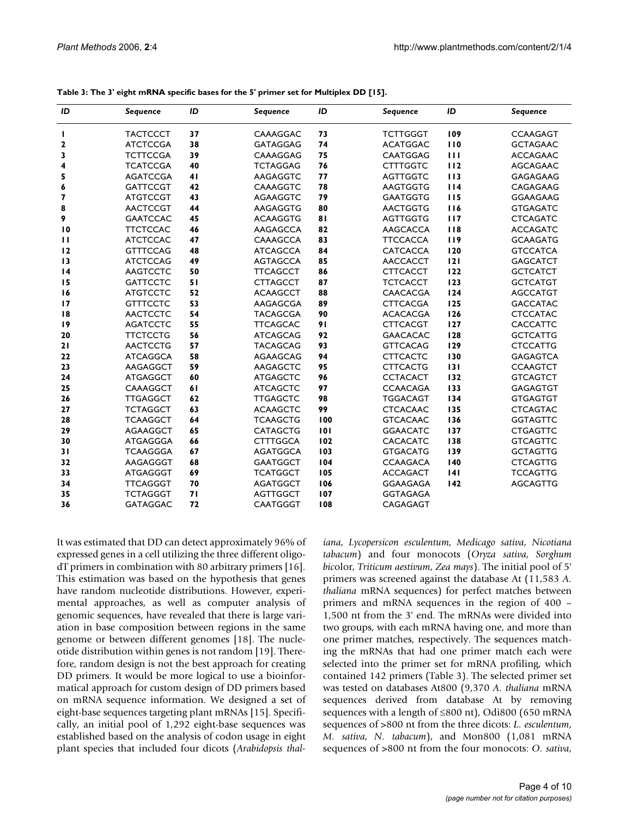| ID              | <b>Sequence</b> | ID | <b>Sequence</b> | ID  | Sequence        | ID  | Sequence        |
|-----------------|-----------------|----|-----------------|-----|-----------------|-----|-----------------|
| L               | <b>TACTCCCT</b> | 37 | CAAAGGAC        | 73  | <b>TCTTGGGT</b> | 109 | <b>CCAAGAGT</b> |
| 2               | <b>ATCTCCGA</b> | 38 | <b>GATAGGAG</b> | 74  | <b>ACATGGAC</b> | 110 | <b>GCTAGAAC</b> |
| 3               | <b>TCTTCCGA</b> | 39 | CAAAGGAG        | 75  | <b>CAATGGAG</b> | 111 | <b>ACCAGAAC</b> |
| 4               | <b>TCATCCGA</b> | 40 | <b>TCTAGGAG</b> | 76  | <b>CTTTGGTC</b> | 112 | <b>AGCAGAAC</b> |
| 5               | <b>AGATCCGA</b> | 41 | <b>AAGAGGTC</b> | 77  | <b>AGTTGGTC</b> | 113 | <b>GAGAGAAG</b> |
| 6               | <b>GATTCCGT</b> | 42 | <b>CAAAGGTC</b> | 78  | <b>AAGTGGTG</b> | 114 | CAGAGAAG        |
| 7               | <b>ATGTCCGT</b> | 43 | <b>AGAAGGTC</b> | 79  | <b>GAATGGTG</b> | 115 | <b>GGAAGAAG</b> |
| 8               | <b>AACTCCGT</b> | 44 | AAGAGGTG        | 80  | <b>AACTGGTG</b> | 116 | <b>GTGAGATC</b> |
| 9               | <b>GAATCCAC</b> | 45 | <b>ACAAGGTG</b> | 81  | <b>AGTTGGTG</b> | 117 | <b>CTCAGATC</b> |
| 10              | <b>TTCTCCAC</b> | 46 | <b>AAGAGCCA</b> | 82  | <b>AAGCACCA</b> | 118 | <b>ACCAGATC</b> |
| $\mathbf{H}$    | <b>ATCTCCAC</b> | 47 | <b>CAAAGCCA</b> | 83  | <b>TTCCACCA</b> | 119 | <b>GCAAGATG</b> |
| 12              | <b>GTTTCCAG</b> | 48 | <b>ATCAGCCA</b> | 84  | <b>CATCACCA</b> | 120 | <b>GTCCATCA</b> |
| 13              | <b>ATCTCCAG</b> | 49 | <b>AGTAGCCA</b> | 85  | <b>AACCACCT</b> | 121 | <b>GAGCATCT</b> |
| $\overline{14}$ | <b>AAGTCCTC</b> | 50 | <b>TTCAGCCT</b> | 86  | <b>CTTCACCT</b> | 122 | <b>GCTCATCT</b> |
| 15              | <b>GATTCCTC</b> | 51 | <b>CTTAGCCT</b> | 87  | <b>TCTCACCT</b> | 123 | <b>GCTCATGT</b> |
| 16              | <b>ATGTCCTC</b> | 52 | <b>ACAAGCCT</b> | 88  | <b>CAACACGA</b> | 124 | <b>AGCCATGT</b> |
| 17              | <b>GTTTCCTC</b> | 53 | AAGAGCGA        | 89  | <b>CTTCACGA</b> | 125 | <b>GACCATAC</b> |
| 18              | <b>AACTCCTC</b> | 54 | <b>TACAGCGA</b> | 90  | <b>ACACACGA</b> | 126 | <b>CTCCATAC</b> |
| 19              | <b>AGATCCTC</b> | 55 | <b>TTCAGCAC</b> | 91  | <b>CTTCACGT</b> | 127 | <b>CACCATTC</b> |
| 20              | <b>TTCTCCTG</b> | 56 | <b>ATCAGCAG</b> | 92  | <b>GAACACAC</b> | 128 | <b>GCTCATTG</b> |
| 21              | <b>AACTCCTG</b> | 57 | <b>TACAGCAG</b> | 93  | <b>GTTCACAG</b> | 129 | <b>CTCCATTG</b> |
| 22              | <b>ATCAGGCA</b> | 58 | <b>AGAAGCAG</b> | 94  | <b>CTTCACTC</b> | 130 | <b>GAGAGTCA</b> |
| 23              | AAGAGGCT        | 59 | <b>AAGAGCTC</b> | 95  | <b>CTTCACTG</b> | 131 | <b>CCAAGTCT</b> |
| 24              | <b>ATGAGGCT</b> | 60 | <b>ATGAGCTC</b> | 96  | <b>CCTACACT</b> | 132 | <b>GTCAGTCT</b> |
| 25              | CAAAGGCT        | 61 | <b>ATCAGCTC</b> | 97  | <b>CCAACAGA</b> | 133 | <b>GAGAGTGT</b> |
| 26              | <b>TTGAGGCT</b> | 62 | <b>TTGAGCTC</b> | 98  | <b>TGGACAGT</b> | 134 | <b>GTGAGTGT</b> |
| 27              | <b>TCTAGGCT</b> | 63 | <b>ACAAGCTC</b> | 99  | <b>CTCACAAC</b> | 135 | <b>CTCAGTAC</b> |
| 28              | <b>TCAAGGCT</b> | 64 | <b>TCAAGCTG</b> | 100 | <b>GTCACAAC</b> | 136 | <b>GGTAGTTC</b> |
| 29              | <b>AGAAGGCT</b> | 65 | <b>CATAGCTG</b> | 101 | <b>GGAACATC</b> | 137 | <b>CTGAGTTC</b> |
| 30              | <b>ATGAGGGA</b> | 66 | <b>CTTTGGCA</b> | 102 | <b>CACACATC</b> | 138 | <b>GTCAGTTC</b> |
| 31              | <b>TCAAGGGA</b> | 67 | <b>AGATGGCA</b> | 103 | <b>GTGACATG</b> | 139 | <b>GCTAGTTG</b> |
| 32              | AAGAGGGT        | 68 | <b>GAATGGCT</b> | 104 | <b>CCAAGACA</b> | 140 | <b>CTCAGTTG</b> |
| 33              | <b>ATGAGGGT</b> | 69 | <b>TCATGGCT</b> | 105 | <b>ACCAGACT</b> | 4   | <b>TCCAGTTG</b> |
| 34              | <b>TTCAGGGT</b> | 70 | <b>AGATGGCT</b> | 106 | <b>GGAAGAGA</b> | 142 | <b>AGCAGTTG</b> |
| 35              | <b>TCTAGGGT</b> | 71 | <b>AGTTGGCT</b> | 107 | <b>GGTAGAGA</b> |     |                 |
| 36              | <b>GATAGGAC</b> | 72 | <b>CAATGGGT</b> | 108 | CAGAGAGT        |     |                 |

**Table 3: The 3' eight mRNA specific bases for the 5' primer set for Multiplex DD [15].**

It was estimated that DD can detect approximately 96% of expressed genes in a cell utilizing the three different oligodT primers in combination with 80 arbitrary primers [16]. This estimation was based on the hypothesis that genes have random nucleotide distributions. However, experimental approaches, as well as computer analysis of genomic sequences, have revealed that there is large variation in base composition between regions in the same genome or between different genomes [18]. The nucleotide distribution within genes is not random [19]. Therefore, random design is not the best approach for creating DD primers. It would be more logical to use a bioinformatical approach for custom design of DD primers based on mRNA sequence information. We designed a set of eight-base sequences targeting plant mRNAs [15]. Specifically, an initial pool of 1,292 eight-base sequences was established based on the analysis of codon usage in eight plant species that included four dicots (*Arabidopsis thal-* *iana*, *Lycopersicon esculentum*, *Medicago sativa*, *Nicotiana tabacum*) and four monocots (*Oryza sativa*, *Sorghum bic*olor, *Triticum aestivum*, *Zea mays*). The initial pool of 5' primers was screened against the database At (11,583 *A. thaliana* mRNA sequences) for perfect matches between primers and mRNA sequences in the region of 400 – 1,500 nt from the 3' end. The mRNAs were divided into two groups, with each mRNA having one, and more than one primer matches, respectively. The sequences matching the mRNAs that had one primer match each were selected into the primer set for mRNA profiling, which contained 142 primers (Table 3). The selected primer set was tested on databases At800 (9,370 *A. thaliana* mRNA sequences derived from database At by removing sequences with a length of ≤800 nt), Odi800 (650 mRNA sequences of >800 nt from the three dicots: *L. esculentum*, *M. sativa*, *N. tabacum*), and Mon800 (1,081 mRNA sequences of >800 nt from the four monocots: *O. sativa*,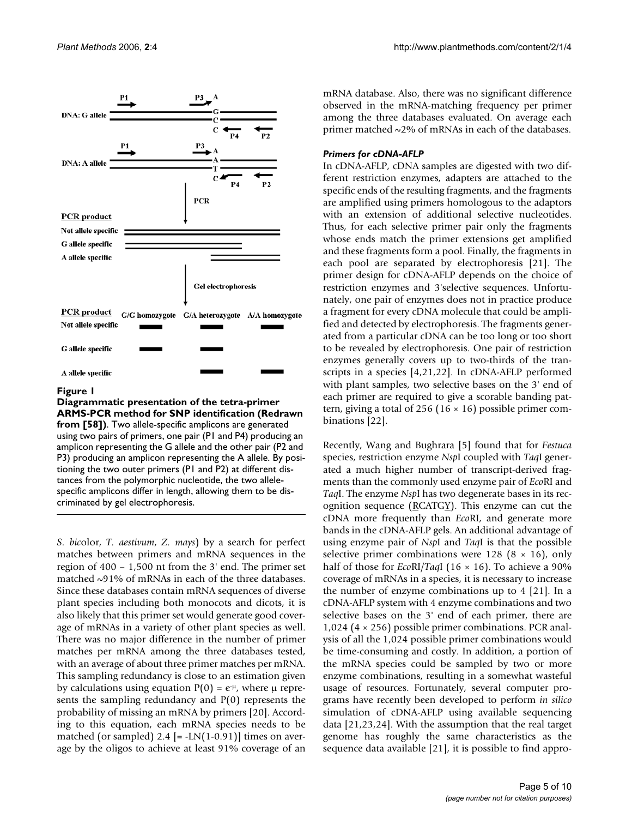

#### Figure 1

**Diagrammatic presentation of the tetra-primer ARMS-PCR method for SNP identification (Redrawn from [58])**. Two allele-specific amplicons are generated using two pairs of primers, one pair (P1 and P4) producing an amplicon representing the G allele and the other pair (P2 and P3) producing an amplicon representing the A allele. By positioning the two outer primers (P1 and P2) at different distances from the polymorphic nucleotide, the two allelespecific amplicons differ in length, allowing them to be discriminated by gel electrophoresis.

*S. bic*olor, *T. aestivum*, *Z. mays*) by a search for perfect matches between primers and mRNA sequences in the region of 400 – 1,500 nt from the 3' end. The primer set matched ~91% of mRNAs in each of the three databases. Since these databases contain mRNA sequences of diverse plant species including both monocots and dicots, it is also likely that this primer set would generate good coverage of mRNAs in a variety of other plant species as well. There was no major difference in the number of primer matches per mRNA among the three databases tested, with an average of about three primer matches per mRNA. This sampling redundancy is close to an estimation given by calculations using equation  $P(0) = e^{\mu}$ , where  $\mu$  represents the sampling redundancy and P(0) represents the probability of missing an mRNA by primers [20]. According to this equation, each mRNA species needs to be matched (or sampled)  $2.4$  [= -LN(1-0.91)] times on average by the oligos to achieve at least 91% coverage of an mRNA database. Also, there was no significant difference observed in the mRNA-matching frequency per primer among the three databases evaluated. On average each primer matched ~2% of mRNAs in each of the databases.

# *Primers for cDNA-AFLP*

In cDNA-AFLP, cDNA samples are digested with two different restriction enzymes, adapters are attached to the specific ends of the resulting fragments, and the fragments are amplified using primers homologous to the adaptors with an extension of additional selective nucleotides. Thus, for each selective primer pair only the fragments whose ends match the primer extensions get amplified and these fragments form a pool. Finally, the fragments in each pool are separated by electrophoresis [21]. The primer design for cDNA-AFLP depends on the choice of restriction enzymes and 3'selective sequences. Unfortunately, one pair of enzymes does not in practice produce a fragment for every cDNA molecule that could be amplified and detected by electrophoresis. The fragments generated from a particular cDNA can be too long or too short to be revealed by electrophoresis. One pair of restriction enzymes generally covers up to two-thirds of the transcripts in a species [4,21,22]. In cDNA-AFLP performed with plant samples, two selective bases on the 3' end of each primer are required to give a scorable banding pattern, giving a total of 256 (16  $\times$  16) possible primer combinations [22].

Recently, Wang and Bughrara [5] found that for *Festuca* species, restriction enzyme *Nsp*I coupled with *Taq*I generated a much higher number of transcript-derived fragments than the commonly used enzyme pair of *Eco*RI and *Taq*I. The enzyme *Nsp*I has two degenerate bases in its recognition sequence  $(RCATGY)$ . This enzyme can cut the cDNA more frequently than *Eco*RI, and generate more bands in the cDNA-AFLP gels. An additional advantage of using enzyme pair of *Nsp*I and *Taq*I is that the possible selective primer combinations were 128 ( $8 \times 16$ ), only half of those for *Eco*RI/*Taq*I (16 × 16). To achieve a 90% coverage of mRNAs in a species, it is necessary to increase the number of enzyme combinations up to 4 [21]. In a cDNA-AFLP system with 4 enzyme combinations and two selective bases on the 3' end of each primer, there are 1,024 (4 × 256) possible primer combinations. PCR analysis of all the 1,024 possible primer combinations would be time-consuming and costly. In addition, a portion of the mRNA species could be sampled by two or more enzyme combinations, resulting in a somewhat wasteful usage of resources. Fortunately, several computer programs have recently been developed to perform *in silico* simulation of cDNA-AFLP using available sequencing data [21,23,24]. With the assumption that the real target genome has roughly the same characteristics as the sequence data available [21], it is possible to find appro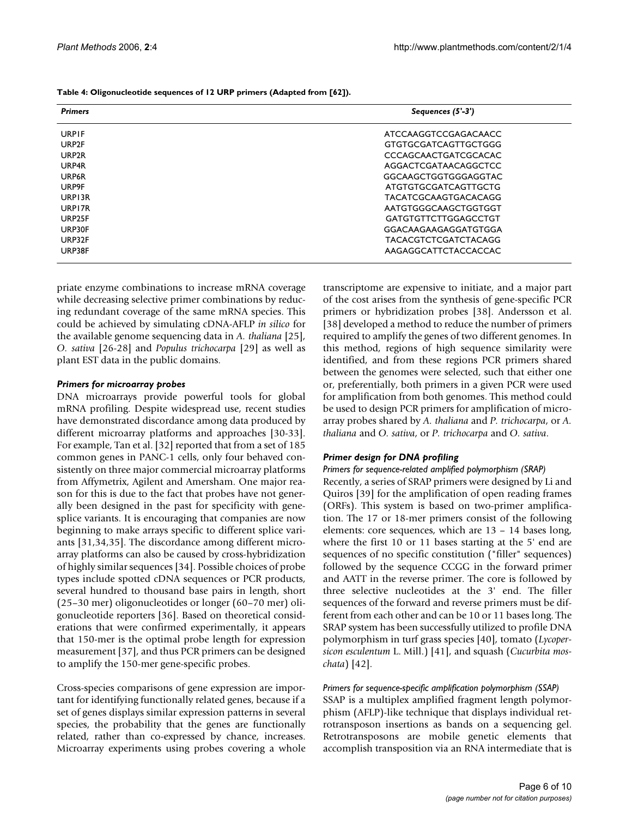**Table 4: Oligonucleotide sequences of 12 URP primers (Adapted from [62]).**

| <b>Primers</b>     | Sequences (5'-3')           |  |  |  |  |
|--------------------|-----------------------------|--|--|--|--|
| URPIF              | ATCCAAGGTCCGAGACAACC        |  |  |  |  |
| URP2F              | GTGTGCGATCAGTTGCTGGG        |  |  |  |  |
| URP2R              | CCCAGCAACTGATCGCACAC        |  |  |  |  |
| URP4R              | AGGACTCGATAACAGGCTCC        |  |  |  |  |
| <b>URP6R</b>       | GGCAAGCTGGTGGGAGGTAC        |  |  |  |  |
| URP9F              | ATGTGTGCGATCAGTTGCTG        |  |  |  |  |
| URP13R             | TACATCGCAAGTGACACAGG        |  |  |  |  |
| URP17R             | AATGTGGGCAAGCTGGTGGT        |  |  |  |  |
| URP <sub>25F</sub> | GATGTGTTCTTGGAGCCTGT        |  |  |  |  |
| URP30F             | GGACAAGAAGAGGATGTGGA        |  |  |  |  |
| URP32F             | <b>TACACGTCTCGATCTACAGG</b> |  |  |  |  |
| URP38F             | AAGAGGCATTCTACCACCAC        |  |  |  |  |

priate enzyme combinations to increase mRNA coverage while decreasing selective primer combinations by reducing redundant coverage of the same mRNA species. This could be achieved by simulating cDNA-AFLP *in silico* for the available genome sequencing data in *A. thaliana* [25], *O. sativa* [26-28] and *Populus trichocarpa* [29] as well as plant EST data in the public domains.

# *Primers for microarray probes*

DNA microarrays provide powerful tools for global mRNA profiling. Despite widespread use, recent studies have demonstrated discordance among data produced by different microarray platforms and approaches [30-33]. For example, Tan et al. [32] reported that from a set of 185 common genes in PANC-1 cells, only four behaved consistently on three major commercial microarray platforms from Affymetrix, Agilent and Amersham. One major reason for this is due to the fact that probes have not generally been designed in the past for specificity with genesplice variants. It is encouraging that companies are now beginning to make arrays specific to different splice variants [31,34,35]. The discordance among different microarray platforms can also be caused by cross-hybridization of highly similar sequences [34]. Possible choices of probe types include spotted cDNA sequences or PCR products, several hundred to thousand base pairs in length, short (25–30 mer) oligonucleotides or longer (60–70 mer) oligonucleotide reporters [36]. Based on theoretical considerations that were confirmed experimentally, it appears that 150-mer is the optimal probe length for expression measurement [37], and thus PCR primers can be designed to amplify the 150-mer gene-specific probes.

Cross-species comparisons of gene expression are important for identifying functionally related genes, because if a set of genes displays similar expression patterns in several species, the probability that the genes are functionally related, rather than co-expressed by chance, increases. Microarray experiments using probes covering a whole transcriptome are expensive to initiate, and a major part of the cost arises from the synthesis of gene-specific PCR primers or hybridization probes [38]. Andersson et al. [38] developed a method to reduce the number of primers required to amplify the genes of two different genomes. In this method, regions of high sequence similarity were identified, and from these regions PCR primers shared between the genomes were selected, such that either one or, preferentially, both primers in a given PCR were used for amplification from both genomes. This method could be used to design PCR primers for amplification of microarray probes shared by *A. thaliana* and *P. trichocarpa*, or *A. thaliana* and *O. sativa*, or *P. trichocarpa* and *O. sativa*.

# *Primer design for DNA profiling*

*Primers for sequence-related amplified polymorphism (SRAP)* Recently, a series of SRAP primers were designed by Li and Quiros [39] for the amplification of open reading frames (ORFs). This system is based on two-primer amplification. The 17 or 18-mer primers consist of the following elements: core sequences, which are 13 – 14 bases long, where the first 10 or 11 bases starting at the 5' end are sequences of no specific constitution ("filler" sequences) followed by the sequence CCGG in the forward primer and AATT in the reverse primer. The core is followed by three selective nucleotides at the 3' end. The filler sequences of the forward and reverse primers must be different from each other and can be 10 or 11 bases long. The SRAP system has been successfully utilized to profile DNA polymorphism in turf grass species [40], tomato (*Lycopersicon esculentum* L. Mill.) [41], and squash (*Cucurbita moschata*) [42].

# *Primers for sequence-specific amplification polymorphism (SSAP)*

SSAP is a multiplex amplified fragment length polymorphism (AFLP)-like technique that displays individual retrotransposon insertions as bands on a sequencing gel. Retrotransposons are mobile genetic elements that accomplish transposition via an RNA intermediate that is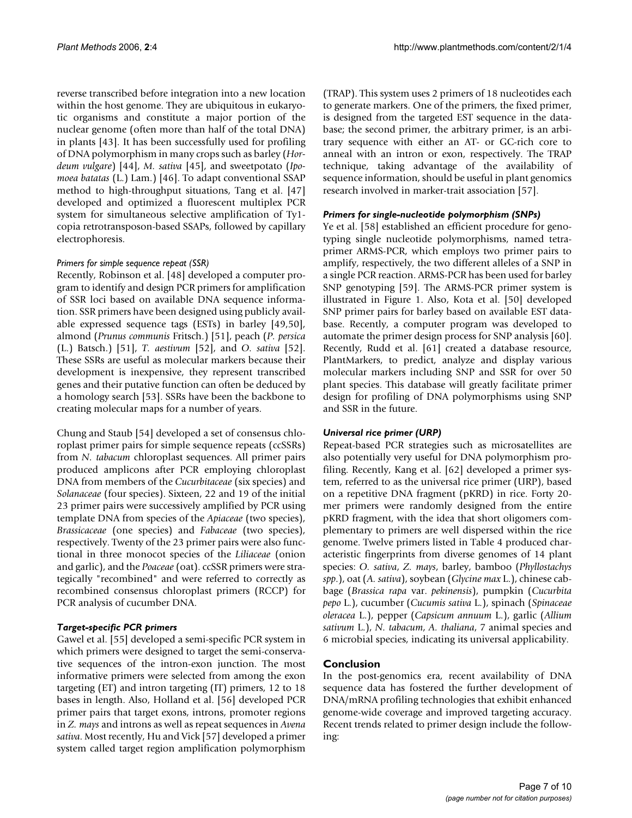reverse transcribed before integration into a new location within the host genome. They are ubiquitous in eukaryotic organisms and constitute a major portion of the nuclear genome (often more than half of the total DNA) in plants [43]. It has been successfully used for profiling of DNA polymorphism in many crops such as barley (*Hordeum vulgare*) [44], *M. sativa* [45], and sweetpotato (*Ipomoea batatas* (L.) Lam.) [46]. To adapt conventional SSAP method to high-throughput situations, Tang et al. [47] developed and optimized a fluorescent multiplex PCR system for simultaneous selective amplification of Ty1 copia retrotransposon-based SSAPs, followed by capillary electrophoresis.

# *Primers for simple sequence repeat (SSR)*

Recently, Robinson et al. [48] developed a computer program to identify and design PCR primers for amplification of SSR loci based on available DNA sequence information. SSR primers have been designed using publicly available expressed sequence tags (ESTs) in barley [49,50], almond (*Prunus communis* Fritsch.) [51], peach (*P. persica* (L.) Batsch.) [51], *T. aestivum* [52], and *O. sativa* [52]. These SSRs are useful as molecular markers because their development is inexpensive, they represent transcribed genes and their putative function can often be deduced by a homology search [53]. SSRs have been the backbone to creating molecular maps for a number of years.

Chung and Staub [54] developed a set of consensus chloroplast primer pairs for simple sequence repeats (ccSSRs) from *N. tabacum* chloroplast sequences. All primer pairs produced amplicons after PCR employing chloroplast DNA from members of the *Cucurbitaceae* (six species) and *Solanaceae* (four species). Sixteen, 22 and 19 of the initial 23 primer pairs were successively amplified by PCR using template DNA from species of the *Apiaceae* (two species), *Brassicaceae* (one species) and *Fabaceae* (two species), respectively. Twenty of the 23 primer pairs were also functional in three monocot species of the *Liliaceae* (onion and garlic), and the *Poaceae* (oat). ccSSR primers were strategically "recombined" and were referred to correctly as recombined consensus chloroplast primers (RCCP) for PCR analysis of cucumber DNA.

# *Target-specific PCR primers*

Gawel et al. [55] developed a semi-specific PCR system in which primers were designed to target the semi-conservative sequences of the intron-exon junction. The most informative primers were selected from among the exon targeting (ET) and intron targeting (IT) primers, 12 to 18 bases in length. Also, Holland et al. [56] developed PCR primer pairs that target exons, introns, promoter regions in *Z. mays* and introns as well as repeat sequences in *Avena sativa*. Most recently, Hu and Vick [57] developed a primer system called target region amplification polymorphism

(TRAP). This system uses 2 primers of 18 nucleotides each to generate markers. One of the primers, the fixed primer, is designed from the targeted EST sequence in the database; the second primer, the arbitrary primer, is an arbitrary sequence with either an AT- or GC-rich core to anneal with an intron or exon, respectively. The TRAP technique, taking advantage of the availability of sequence information, should be useful in plant genomics research involved in marker-trait association [57].

### *Primers for single-nucleotide polymorphism (SNPs)*

Ye et al. [58] established an efficient procedure for genotyping single nucleotide polymorphisms, named tetraprimer ARMS-PCR, which employs two primer pairs to amplify, respectively, the two different alleles of a SNP in a single PCR reaction. ARMS-PCR has been used for barley SNP genotyping [59]. The ARMS-PCR primer system is illustrated in Figure 1. Also, Kota et al. [50] developed SNP primer pairs for barley based on available EST database. Recently, a computer program was developed to automate the primer design process for SNP analysis [60]. Recently, Rudd et al. [61] created a database resource, PlantMarkers, to predict, analyze and display various molecular markers including SNP and SSR for over 50 plant species. This database will greatly facilitate primer design for profiling of DNA polymorphisms using SNP and SSR in the future.

#### *Universal rice primer (URP)*

Repeat-based PCR strategies such as microsatellites are also potentially very useful for DNA polymorphism profiling. Recently, Kang et al. [62] developed a primer system, referred to as the universal rice primer (URP), based on a repetitive DNA fragment (pKRD) in rice. Forty 20 mer primers were randomly designed from the entire pKRD fragment, with the idea that short oligomers complementary to primers are well dispersed within the rice genome. Twelve primers listed in Table 4 produced characteristic fingerprints from diverse genomes of 14 plant species: *O. sativa*, *Z. mays*, barley, bamboo (*Phyllostachys spp*.), oat (*A. sativa*), soybean (*Glycine max* L.), chinese cabbage (*Brassica rapa* var. *pekinensis*), pumpkin (*Cucurbita pepo* L.), cucumber (*Cucumis sativa* L.), spinach (*Spinaceae oleracea* L.), pepper (*Capsicum annuum* L.), garlic (*Allium sativum* L.), *N. tabacum*, *A. thaliana*, 7 animal species and 6 microbial species, indicating its universal applicability.

# **Conclusion**

In the post-genomics era, recent availability of DNA sequence data has fostered the further development of DNA/mRNA profiling technologies that exhibit enhanced genome-wide coverage and improved targeting accuracy. Recent trends related to primer design include the following: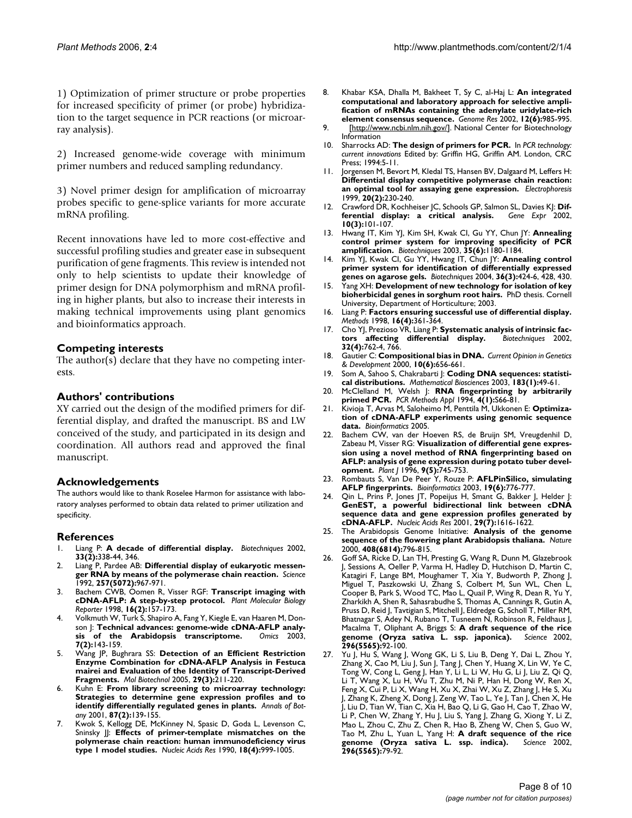1) Optimization of primer structure or probe properties for increased specificity of primer (or probe) hybridization to the target sequence in PCR reactions (or microarray analysis).

2) Increased genome-wide coverage with minimum primer numbers and reduced sampling redundancy.

3) Novel primer design for amplification of microarray probes specific to gene-splice variants for more accurate mRNA profiling.

Recent innovations have led to more cost-effective and successful profiling studies and greater ease in subsequent purification of gene fragments. This review is intended not only to help scientists to update their knowledge of primer design for DNA polymorphism and mRNA profiling in higher plants, but also to increase their interests in making technical improvements using plant genomics and bioinformatics approach.

# **Competing interests**

The author(s) declare that they have no competing interests.

### **Authors' contributions**

XY carried out the design of the modified primers for differential display, and drafted the manuscript. BS and LW conceived of the study, and participated in its design and coordination. All authors read and approved the final manuscript.

#### **Acknowledgements**

The authors would like to thank Roselee Harmon for assistance with laboratory analyses performed to obtain data related to primer utilization and specificity.

# **References**

- 1. Liang P: **[A decade of differential display.](http://www.ncbi.nlm.nih.gov/entrez/query.fcgi?cmd=Retrieve&db=PubMed&dopt=Abstract&list_uids=12188186)** *Biotechniques* 2002, **33(2):**338-44, 346.
- Liang P, Pardee AB: [Differential display of eukaryotic messen](http://www.ncbi.nlm.nih.gov/entrez/query.fcgi?cmd=Retrieve&db=PubMed&dopt=Abstract&list_uids=1354393)**[ger RNA by means of the polymerase chain reaction.](http://www.ncbi.nlm.nih.gov/entrez/query.fcgi?cmd=Retrieve&db=PubMed&dopt=Abstract&list_uids=1354393)** *Science* 1992, **257(5072):**967-971.
- 3. Bachem CWB, Oomen R, Visser RGF: **Transcript imaging with cDNA-AFLP: A step-by-step protocol.** *Plant Molecular Biology Reporter* 1998, **16(2):**157-173.
- 4. Volkmuth W, Turk S, Shapiro A, Fang Y, Kiegle E, van Haaren M, Donson J: **Technical advances: genome-wide cDNA-AFLP analy-<br>sis of the Arabidopsis transcriptome. Omics 2003,** [sis of the Arabidopsis transcriptome.](http://www.ncbi.nlm.nih.gov/entrez/query.fcgi?cmd=Retrieve&db=PubMed&dopt=Abstract&list_uids=14506844) **7(2):**143-159.
- 5. Wang JP, Bughrara SS: **[Detection of an Efficient Restriction](http://www.ncbi.nlm.nih.gov/entrez/query.fcgi?cmd=Retrieve&db=PubMed&dopt=Abstract&list_uids=15767698) Enzyme Combination for cDNA-AFLP Analysis in Festuca [mairei and Evaluation of the Identity of Transcript-Derived](http://www.ncbi.nlm.nih.gov/entrez/query.fcgi?cmd=Retrieve&db=PubMed&dopt=Abstract&list_uids=15767698) [Fragments.](http://www.ncbi.nlm.nih.gov/entrez/query.fcgi?cmd=Retrieve&db=PubMed&dopt=Abstract&list_uids=15767698)** *Mol Biotechnol* 2005, **29(3):**211-220.
- 6. Kuhn E: **From library screening to microarray technology: Strategies to determine gene expression profiles and to identify differentially regulated genes in plants.** *Annals of Botany* 2001, **87(2):**139-155.
- Kwok S, Kellogg DE, McKinney N, Spasic D, Goda L, Levenson C, Sninsky JJ: **[Effects of primer-template mismatches on the](http://www.ncbi.nlm.nih.gov/entrez/query.fcgi?cmd=Retrieve&db=PubMed&dopt=Abstract&list_uids=2179874) [polymerase chain reaction: human immunodeficiency virus](http://www.ncbi.nlm.nih.gov/entrez/query.fcgi?cmd=Retrieve&db=PubMed&dopt=Abstract&list_uids=2179874) [type 1 model studies.](http://www.ncbi.nlm.nih.gov/entrez/query.fcgi?cmd=Retrieve&db=PubMed&dopt=Abstract&list_uids=2179874)** *Nucleic Acids Res* 1990, **18(4):**999-1005.
- 8. Khabar KSA, Dhalla M, Bakheet T, Sy C, al-Haj L: **[An integrated](http://www.ncbi.nlm.nih.gov/entrez/query.fcgi?cmd=Retrieve&db=PubMed&dopt=Abstract&list_uids=12045152) computational and laboratory approach for selective ampli[fication of mRNAs containing the adenylate uridylate-rich](http://www.ncbi.nlm.nih.gov/entrez/query.fcgi?cmd=Retrieve&db=PubMed&dopt=Abstract&list_uids=12045152) [element consensus sequence.](http://www.ncbi.nlm.nih.gov/entrez/query.fcgi?cmd=Retrieve&db=PubMed&dopt=Abstract&list_uids=12045152)** *Genome Res* 2002, **12(6):**985-995.
- 9. [\[http://www.ncbi.nlm.nih.gov/](http://www.ncbi.nlm.nih.gov/)]. National Center for Biotechnology Information
- 10. Sharrocks AD: **The design of primers for PCR.** In *PCR technology: current innovations* Edited by: Griffin HG, Griffin AM. London, CRC Press; 1994:5-11.
- Jorgensen M, Bevort M, Kledal TS, Hansen BV, Dalgaard M, Leffers H: **[Differential display competitive polymerase chain reaction:](http://www.ncbi.nlm.nih.gov/entrez/query.fcgi?cmd=Retrieve&db=PubMed&dopt=Abstract&list_uids=10197428) [an optimal tool for assaying gene expression.](http://www.ncbi.nlm.nih.gov/entrez/query.fcgi?cmd=Retrieve&db=PubMed&dopt=Abstract&list_uids=10197428)** *Electrophoresis* 1999, **20(2):**230-240.
- 12. Crawford DR, Kochheiser JC, Schools GP, Salmon SL, Davies KJ: **[Dif](http://www.ncbi.nlm.nih.gov/entrez/query.fcgi?cmd=Retrieve&db=PubMed&dopt=Abstract&list_uids=12064572)**[ferential display: a critical analysis.](http://www.ncbi.nlm.nih.gov/entrez/query.fcgi?cmd=Retrieve&db=PubMed&dopt=Abstract&list_uids=12064572) **10(3):**101-107.
- 13. Hwang IT, Kim YJ, Kim SH, Kwak CI, Gu YY, Chun JY: **[Annealing](http://www.ncbi.nlm.nih.gov/entrez/query.fcgi?cmd=Retrieve&db=PubMed&dopt=Abstract&list_uids=14682052) [control primer system for improving specificity of PCR](http://www.ncbi.nlm.nih.gov/entrez/query.fcgi?cmd=Retrieve&db=PubMed&dopt=Abstract&list_uids=14682052) [amplification.](http://www.ncbi.nlm.nih.gov/entrez/query.fcgi?cmd=Retrieve&db=PubMed&dopt=Abstract&list_uids=14682052)** *Biotechniques* 2003, **35(6):**1180-1184.
- 14. Kim YJ, Kwak CI, Gu YY, Hwang IT, Chun JY: **[Annealing control](http://www.ncbi.nlm.nih.gov/entrez/query.fcgi?cmd=Retrieve&db=PubMed&dopt=Abstract&list_uids=15038158) [primer system for identification of differentially expressed](http://www.ncbi.nlm.nih.gov/entrez/query.fcgi?cmd=Retrieve&db=PubMed&dopt=Abstract&list_uids=15038158) [genes on agarose gels.](http://www.ncbi.nlm.nih.gov/entrez/query.fcgi?cmd=Retrieve&db=PubMed&dopt=Abstract&list_uids=15038158)** *Biotechniques* 2004, **36(3):**424-6, 428, 430.
- 15. Yang XH: **Development of new technology for isolation of key bioherbicidal genes in sorghum root hairs.** PhD thesis. Cornell University, Department of Horticulture; 2003.
- 16. Liang P: **[Factors ensuring successful use of differential display.](http://www.ncbi.nlm.nih.gov/entrez/query.fcgi?cmd=Retrieve&db=PubMed&dopt=Abstract&list_uids=10049643)** *Methods* 1998, **16(4):**361-364.
- 17. Cho YJ, Prezioso VR, Liang P: **Systematic analysis of intrinsic fac-**<br> **tors** affecting differential display. Biotechniques 2002. [tors affecting differential display.](http://www.ncbi.nlm.nih.gov/entrez/query.fcgi?cmd=Retrieve&db=PubMed&dopt=Abstract&list_uids=11962597) **32(4):**762-4, 766.
- 18. Gautier C: **[Compositional bias in DNA.](http://www.ncbi.nlm.nih.gov/entrez/query.fcgi?cmd=Retrieve&db=PubMed&dopt=Abstract&list_uids=11088017)** *Current Opinion in Genetics & Development* 2000, **10(6):**656-661.
- 19. Som A, Sahoo S, Chakrabarti J: **[Coding DNA sequences: statisti](http://www.ncbi.nlm.nih.gov/entrez/query.fcgi?cmd=Retrieve&db=PubMed&dopt=Abstract&list_uids=12604135)[cal distributions.](http://www.ncbi.nlm.nih.gov/entrez/query.fcgi?cmd=Retrieve&db=PubMed&dopt=Abstract&list_uids=12604135)** *Mathematical Biosciences* 2003, **183(1):**49-61.
- 20. McClelland M, Welsh J: **[RNA fingerprinting by arbitrarily](http://www.ncbi.nlm.nih.gov/entrez/query.fcgi?cmd=Retrieve&db=PubMed&dopt=Abstract&list_uids=9018328) [primed PCR.](http://www.ncbi.nlm.nih.gov/entrez/query.fcgi?cmd=Retrieve&db=PubMed&dopt=Abstract&list_uids=9018328)** *PCR Methods Appl* 1994, **4(1):**S66-81.
- 21. Kivioja T, Arvas M, Saloheimo M, Penttila M, Ukkonen E: **Optimization of cDNA-AFLP experiments using genomic sequence data.** *Bioinformatics* 2005.
- 22. Bachem CW, van der Hoeven RS, de Bruijn SM, Vreugdenhil D, Zabeau M, Visser RG: **[Visualization of differential gene expres](http://www.ncbi.nlm.nih.gov/entrez/query.fcgi?cmd=Retrieve&db=PubMed&dopt=Abstract&list_uids=8653120)sion using a novel method of RNA fingerprinting based on [AFLP: analysis of gene expression during potato tuber devel](http://www.ncbi.nlm.nih.gov/entrez/query.fcgi?cmd=Retrieve&db=PubMed&dopt=Abstract&list_uids=8653120)[opment.](http://www.ncbi.nlm.nih.gov/entrez/query.fcgi?cmd=Retrieve&db=PubMed&dopt=Abstract&list_uids=8653120)** *Plant J* 1996, **9(5):**745-753.
- 23. Rombauts S, Van De Peer Y, Rouze P: **[AFLPinSilico, simulating](http://www.ncbi.nlm.nih.gov/entrez/query.fcgi?cmd=Retrieve&db=PubMed&dopt=Abstract&list_uids=12691992) [AFLP fingerprints.](http://www.ncbi.nlm.nih.gov/entrez/query.fcgi?cmd=Retrieve&db=PubMed&dopt=Abstract&list_uids=12691992)** *Bioinformatics* 2003, **19(6):**776-777.
- 24. Qin L, Prins P, Jones JT, Popeijus H, Smant G, Bakker J, Helder J: **GenEST, a powerful bidirectional link between cDNA [sequence data and gene expression profiles generated by](http://www.ncbi.nlm.nih.gov/entrez/query.fcgi?cmd=Retrieve&db=PubMed&dopt=Abstract&list_uids=11266565) [cDNA-AFLP.](http://www.ncbi.nlm.nih.gov/entrez/query.fcgi?cmd=Retrieve&db=PubMed&dopt=Abstract&list_uids=11266565)** *Nucleic Acids Res* 2001, **29(7):**1616-1622.
- 25. The Arabidopsis Genome Initiative: **[Analysis of the genome](http://www.ncbi.nlm.nih.gov/entrez/query.fcgi?cmd=Retrieve&db=PubMed&dopt=Abstract&list_uids=11130711) [sequence of the flowering plant Arabidopsis thaliana.](http://www.ncbi.nlm.nih.gov/entrez/query.fcgi?cmd=Retrieve&db=PubMed&dopt=Abstract&list_uids=11130711)** *Nature* 2000, **408(6814):**796-815.
- 26. Goff SA, Ricke D, Lan TH, Presting G, Wang R, Dunn M, Glazebrook J, Sessions A, Oeller P, Varma H, Hadley D, Hutchison D, Martin C, Katagiri F, Lange BM, Moughamer T, Xia Y, Budworth P, Zhong J, Miguel T, Paszkowski U, Zhang S, Colbert M, Sun WL, Chen L, Cooper B, Park S, Wood TC, Mao L, Quail P, Wing R, Dean R, Yu Y, Zharkikh A, Shen R, Sahasrabudhe S, Thomas A, Cannings R, Gutin A, Pruss D, Reid J, Tavtigian S, Mitchell J, Eldredge G, Scholl T, Miller RM, Bhatnagar S, Adey N, Rubano T, Tusneem N, Robinson R, Feldhaus J, Macalma T, Oliphant A, Briggs S: **[A draft sequence of the rice](http://www.ncbi.nlm.nih.gov/entrez/query.fcgi?cmd=Retrieve&db=PubMed&dopt=Abstract&list_uids=11935018) [genome \(Oryza sativa L. ssp. japonica\).](http://www.ncbi.nlm.nih.gov/entrez/query.fcgi?cmd=Retrieve&db=PubMed&dopt=Abstract&list_uids=11935018)** *Science* 2002, **296(5565):**92-100.
- 27. Yu J, Hu S, Wang J, Wong GK, Li S, Liu B, Deng Y, Dai L, Zhou Y, Zhang X, Cao M, Liu J, Sun J, Tang J, Chen Y, Huang X, Lin W, Ye C, Tong W, Cong L, Geng J, Han Y, Li L, Li W, Hu G, Li J, Liu Z, Qi Q, Li T, Wang X, Lu H, Wu T, Zhu M, Ni P, Han H, Dong W, Ren X, Feng X, Cui P, Li X, Wang H, Xu X, Zhai W, Xu Z, Zhang J, He S, Xu J, Zhang K, Zheng X, Dong J, Zeng W, Tao L, Ye J, Tan J, Chen X, He J, Liu D, Tian W, Tian C, Xia H, Bao Q, Li G, Gao H, Cao T, Zhao W, Li P, Chen W, Zhang Y, Hu J, Liu S, Yang J, Zhang G, Xiong Y, Li Z, Mao L, Zhou C, Zhu Z, Chen R, Hao B, Zheng W, Chen S, Guo W, Tao M, Zhu L, Yuan L, Yang H: **[A draft sequence of the rice](http://www.ncbi.nlm.nih.gov/entrez/query.fcgi?cmd=Retrieve&db=PubMed&dopt=Abstract&list_uids=11935017) [genome \(Oryza sativa L. ssp. indica\).](http://www.ncbi.nlm.nih.gov/entrez/query.fcgi?cmd=Retrieve&db=PubMed&dopt=Abstract&list_uids=11935017)** *Science* 2002, **296(5565):**79-92.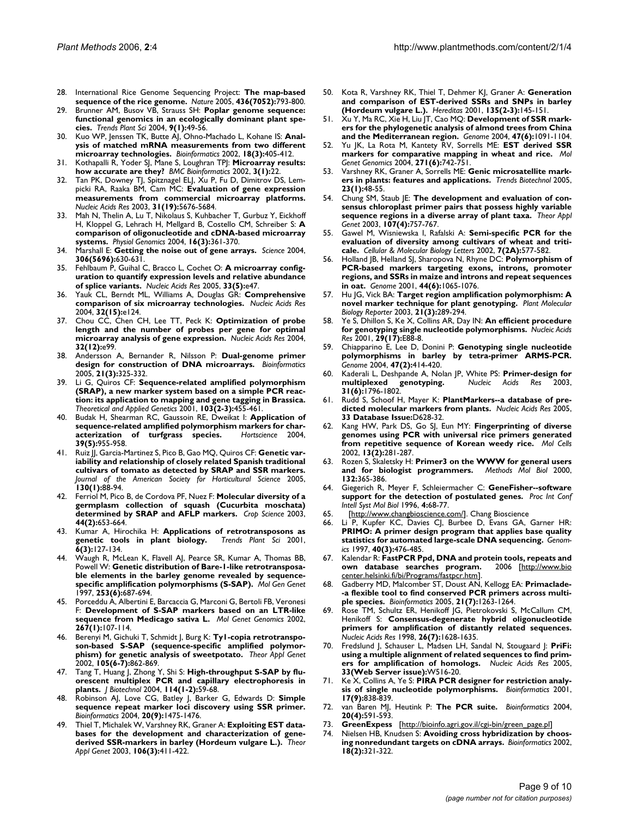- 28. International Rice Genome Sequencing Project: **[The map-based](http://www.ncbi.nlm.nih.gov/entrez/query.fcgi?cmd=Retrieve&db=PubMed&dopt=Abstract&list_uids=16100779) [sequence of the rice genome.](http://www.ncbi.nlm.nih.gov/entrez/query.fcgi?cmd=Retrieve&db=PubMed&dopt=Abstract&list_uids=16100779)** *Nature* 2005, **436(7052):**793-800.
- 29. Brunner AM, Busov VB, Strauss SH: **[Poplar genome sequence:](http://www.ncbi.nlm.nih.gov/entrez/query.fcgi?cmd=Retrieve&db=PubMed&dopt=Abstract&list_uids=14729219) [functional genomics in an ecologically dominant plant spe](http://www.ncbi.nlm.nih.gov/entrez/query.fcgi?cmd=Retrieve&db=PubMed&dopt=Abstract&list_uids=14729219)[cies.](http://www.ncbi.nlm.nih.gov/entrez/query.fcgi?cmd=Retrieve&db=PubMed&dopt=Abstract&list_uids=14729219)** *Trends Plant Sci* 2004, **9(1):**49-56.
- 30. Kuo WP, Jenssen TK, Butte AJ, Ohno-Machado L, Kohane IS: **[Anal](http://www.ncbi.nlm.nih.gov/entrez/query.fcgi?cmd=Retrieve&db=PubMed&dopt=Abstract&list_uids=11934739)[ysis of matched mRNA measurements from two different](http://www.ncbi.nlm.nih.gov/entrez/query.fcgi?cmd=Retrieve&db=PubMed&dopt=Abstract&list_uids=11934739) [microarray technologies.](http://www.ncbi.nlm.nih.gov/entrez/query.fcgi?cmd=Retrieve&db=PubMed&dopt=Abstract&list_uids=11934739)** *Bioinformatics* 2002, **18(3):**405-412.
- 31. Kothapalli R, Yoder SJ, Mane S, Loughran TPJ: **[Microarray results:](http://www.ncbi.nlm.nih.gov/entrez/query.fcgi?cmd=Retrieve&db=PubMed&dopt=Abstract&list_uids=12194703) [how accurate are they?](http://www.ncbi.nlm.nih.gov/entrez/query.fcgi?cmd=Retrieve&db=PubMed&dopt=Abstract&list_uids=12194703)** *BMC Bioinformatics* 2002, **3(1):**22.
- 32. Tan PK, Downey TJ, Spitznagel ELJ, Xu P, Fu D, Dimitrov DS, Lempicki RA, Raaka BM, Cam MC: **[Evaluation of gene expression](http://www.ncbi.nlm.nih.gov/entrez/query.fcgi?cmd=Retrieve&db=PubMed&dopt=Abstract&list_uids=14500831) [measurements from commercial microarray platforms.](http://www.ncbi.nlm.nih.gov/entrez/query.fcgi?cmd=Retrieve&db=PubMed&dopt=Abstract&list_uids=14500831)** *Nucleic Acids Res* 2003, **31(19):**5676-5684.
- 33. Mah N, Thelin A, Lu T, Nikolaus S, Kuhbacher T, Gurbuz Y, Eickhoff H, Kloppel G, Lehrach H, Mellgard B, Costello CM, Schreiber S: **[A](http://www.ncbi.nlm.nih.gov/entrez/query.fcgi?cmd=Retrieve&db=PubMed&dopt=Abstract&list_uids=14645736) [comparison of oligonucleotide and cDNA-based microarray](http://www.ncbi.nlm.nih.gov/entrez/query.fcgi?cmd=Retrieve&db=PubMed&dopt=Abstract&list_uids=14645736) [systems.](http://www.ncbi.nlm.nih.gov/entrez/query.fcgi?cmd=Retrieve&db=PubMed&dopt=Abstract&list_uids=14645736)** *Physiol Genomics* 2004, **16(3):**361-370.
- 34. Marshall E: **[Getting the noise out of gene arrays.](http://www.ncbi.nlm.nih.gov/entrez/query.fcgi?cmd=Retrieve&db=PubMed&dopt=Abstract&list_uids=15499004)** *Science* 2004, **306(5696):**630-631.
- 35. Fehlbaum P, Guihal C, Bracco L, Cochet O: **[A microarray config](http://www.ncbi.nlm.nih.gov/entrez/query.fcgi?cmd=Retrieve&db=PubMed&dopt=Abstract&list_uids=15760843)[uration to quantify expression levels and relative abundance](http://www.ncbi.nlm.nih.gov/entrez/query.fcgi?cmd=Retrieve&db=PubMed&dopt=Abstract&list_uids=15760843) [of splice variants.](http://www.ncbi.nlm.nih.gov/entrez/query.fcgi?cmd=Retrieve&db=PubMed&dopt=Abstract&list_uids=15760843)** *Nucleic Acids Res* 2005, **33(5):**e47.
- 36. Yauk CL, Berndt ML, Williams A, Douglas GR: **[Comprehensive](http://www.ncbi.nlm.nih.gov/entrez/query.fcgi?cmd=Retrieve&db=PubMed&dopt=Abstract&list_uids=15333675) [comparison of six microarray technologies.](http://www.ncbi.nlm.nih.gov/entrez/query.fcgi?cmd=Retrieve&db=PubMed&dopt=Abstract&list_uids=15333675)** *Nucleic Acids Res* 2004, **32(15):**e124.
- 37. Chou CC, Chen CH, Lee TT, Peck K: **[Optimization of probe](http://www.ncbi.nlm.nih.gov/entrez/query.fcgi?cmd=Retrieve&db=PubMed&dopt=Abstract&list_uids=15243142) [length and the number of probes per gene for optimal](http://www.ncbi.nlm.nih.gov/entrez/query.fcgi?cmd=Retrieve&db=PubMed&dopt=Abstract&list_uids=15243142) [microarray analysis of gene expression.](http://www.ncbi.nlm.nih.gov/entrez/query.fcgi?cmd=Retrieve&db=PubMed&dopt=Abstract&list_uids=15243142)** *Nucleic Acids Res* 2004, **32(12):**e99.
- 38. Andersson A, Bernander R, Nilsson P: **[Dual-genome primer](http://www.ncbi.nlm.nih.gov/entrez/query.fcgi?cmd=Retrieve&db=PubMed&dopt=Abstract&list_uids=15333463) [design for construction of DNA microarrays.](http://www.ncbi.nlm.nih.gov/entrez/query.fcgi?cmd=Retrieve&db=PubMed&dopt=Abstract&list_uids=15333463)** *Bioinformatics* 2005, **21(3):**325-332.
- 39. Li G, Quiros CF: **Sequence-related amplified polymorphism (SRAP), a new marker system based on a simple PCR reaction: its application to mapping and gene tagging in Brassica.** *Theoretical and Applied Genetics* 2001, **103(2-3):**455-461.
- 40. Budak H, Shearman RC, Gaussoin RE, Dweikat I: **Application of** sequence-related amplified polymorphism markers for char-<br>acterization of turfgrass species. Hortscience 2004,  $of$  turfgrass species. **39(5):**955-958.
- 41. Ruiz JJ, Garcia-Martinez S, Pico B, Gao MQ, Quiros CF: **Genetic variability and relationship of closely related Spanish traditional cultivars of tomato as detected by SRAP and SSR markers.** *Journal of the American Society for Horticultural Science* 2005, **130(1):**88-94.
- 42. Ferriol M, Pico B, de Cordova PF, Nuez F: **Molecular diversity of a germplasm collection of squash (Cucurbita moschata) determined by SRAP and AFLP markers.** *Crop Science* 2003, **44(2):**653-664.
- 43. Kumar A, Hirochika H: **[Applications of retrotransposons as](http://www.ncbi.nlm.nih.gov/entrez/query.fcgi?cmd=Retrieve&db=PubMed&dopt=Abstract&list_uids=11239612) [genetic tools in plant biology.](http://www.ncbi.nlm.nih.gov/entrez/query.fcgi?cmd=Retrieve&db=PubMed&dopt=Abstract&list_uids=11239612)** *Trends Plant Sci* 2001, **6(3):**127-134.
- 44. Waugh R, McLean K, Flavell AJ, Pearce SR, Kumar A, Thomas BB, Powell W: **[Genetic distribution of Bare-1-like retrotransposa](http://www.ncbi.nlm.nih.gov/entrez/query.fcgi?cmd=Retrieve&db=PubMed&dopt=Abstract&list_uids=9079879)[ble elements in the barley genome revealed by sequence](http://www.ncbi.nlm.nih.gov/entrez/query.fcgi?cmd=Retrieve&db=PubMed&dopt=Abstract&list_uids=9079879)[specific amplification polymorphisms \(S-SAP\).](http://www.ncbi.nlm.nih.gov/entrez/query.fcgi?cmd=Retrieve&db=PubMed&dopt=Abstract&list_uids=9079879)** *Mol Gen Genet* 1997, **253(6):**687-694.
- 45. Porceddu A, Albertini E, Barcaccia G, Marconi G, Bertoli FB, Veronesi F: **[Development of S-SAP markers based on an LTR-like](http://www.ncbi.nlm.nih.gov/entrez/query.fcgi?cmd=Retrieve&db=PubMed&dopt=Abstract&list_uids=11919721) [sequence from Medicago sativa L.](http://www.ncbi.nlm.nih.gov/entrez/query.fcgi?cmd=Retrieve&db=PubMed&dopt=Abstract&list_uids=11919721)** *Mol Genet Genomics* 2002, **267(1):**107-114.
- 46. Berenyi M, Gichuki T, Schmidt J, Burg K: **[Ty1-copia retrotranspo](http://www.ncbi.nlm.nih.gov/entrez/query.fcgi?cmd=Retrieve&db=PubMed&dopt=Abstract&list_uids=12582911)[son-based S-SAP \(sequence-specific amplified polymor](http://www.ncbi.nlm.nih.gov/entrez/query.fcgi?cmd=Retrieve&db=PubMed&dopt=Abstract&list_uids=12582911)[phism\) for genetic analysis of sweetpotato.](http://www.ncbi.nlm.nih.gov/entrez/query.fcgi?cmd=Retrieve&db=PubMed&dopt=Abstract&list_uids=12582911)** *Theor Appl Genet* 2002, **105(6-7):**862-869.
- 47. Tang T, Huang J, Zhong Y, Shi S: **[High-throughput S-SAP by flu](http://www.ncbi.nlm.nih.gov/entrez/query.fcgi?cmd=Retrieve&db=PubMed&dopt=Abstract&list_uids=15464599)[orescent multiplex PCR and capillary electrophoresis in](http://www.ncbi.nlm.nih.gov/entrez/query.fcgi?cmd=Retrieve&db=PubMed&dopt=Abstract&list_uids=15464599) [plants.](http://www.ncbi.nlm.nih.gov/entrez/query.fcgi?cmd=Retrieve&db=PubMed&dopt=Abstract&list_uids=15464599)** *J Biotechnol* 2004, **114(1-2):**59-68.
- 48. Robinson AJ, Love CG, Batley J, Barker G, Edwards D: **[Simple](http://www.ncbi.nlm.nih.gov/entrez/query.fcgi?cmd=Retrieve&db=PubMed&dopt=Abstract&list_uids=14962913) [sequence repeat marker loci discovery using SSR primer.](http://www.ncbi.nlm.nih.gov/entrez/query.fcgi?cmd=Retrieve&db=PubMed&dopt=Abstract&list_uids=14962913)** *Bioinformatics* 2004, **20(9):**1475-1476.
- Thiel T, Michalek W, Varshney RK, Graner A: [Exploiting EST data](http://www.ncbi.nlm.nih.gov/entrez/query.fcgi?cmd=Retrieve&db=PubMed&dopt=Abstract&list_uids=12589540)**[bases for the development and characterization of gene](http://www.ncbi.nlm.nih.gov/entrez/query.fcgi?cmd=Retrieve&db=PubMed&dopt=Abstract&list_uids=12589540)[derived SSR-markers in barley \(Hordeum vulgare L.\).](http://www.ncbi.nlm.nih.gov/entrez/query.fcgi?cmd=Retrieve&db=PubMed&dopt=Abstract&list_uids=12589540)** *Theor Appl Genet* 2003, **106(3):**411-422.
- 50. Kota R, Varshney RK, Thiel T, Dehmer KJ, Graner A: **[Generation](http://www.ncbi.nlm.nih.gov/entrez/query.fcgi?cmd=Retrieve&db=PubMed&dopt=Abstract&list_uids=12152327) [and comparison of EST-derived SSRs and SNPs in barley](http://www.ncbi.nlm.nih.gov/entrez/query.fcgi?cmd=Retrieve&db=PubMed&dopt=Abstract&list_uids=12152327) [\(Hordeum vulgare L.\).](http://www.ncbi.nlm.nih.gov/entrez/query.fcgi?cmd=Retrieve&db=PubMed&dopt=Abstract&list_uids=12152327)** *Hereditas* 2001, **135(2-3):**145-151.
- 51. Xu Y, Ma RC, Xie H, Liu JT, Cao MQ: **[Development of SSR mark](http://www.ncbi.nlm.nih.gov/entrez/query.fcgi?cmd=Retrieve&db=PubMed&dopt=Abstract&list_uids=15644967)[ers for the phylogenetic analysis of almond trees from China](http://www.ncbi.nlm.nih.gov/entrez/query.fcgi?cmd=Retrieve&db=PubMed&dopt=Abstract&list_uids=15644967) [and the Mediterranean region.](http://www.ncbi.nlm.nih.gov/entrez/query.fcgi?cmd=Retrieve&db=PubMed&dopt=Abstract&list_uids=15644967)** *Genome* 2004, **47(6):**1091-1104.
- 52. Yu JK, La Rota M, Kantety RV, Sorrells ME: **[EST derived SSR](http://www.ncbi.nlm.nih.gov/entrez/query.fcgi?cmd=Retrieve&db=PubMed&dopt=Abstract&list_uids=15197579) [markers for comparative mapping in wheat and rice.](http://www.ncbi.nlm.nih.gov/entrez/query.fcgi?cmd=Retrieve&db=PubMed&dopt=Abstract&list_uids=15197579)** *Mol Genet Genomics* 2004, **271(6):**742-751.
- 53. Varshney RK, Graner A, Sorrells ME: **[Genic microsatellite mark](http://www.ncbi.nlm.nih.gov/entrez/query.fcgi?cmd=Retrieve&db=PubMed&dopt=Abstract&list_uids=15629858)[ers in plants: features and applications.](http://www.ncbi.nlm.nih.gov/entrez/query.fcgi?cmd=Retrieve&db=PubMed&dopt=Abstract&list_uids=15629858)** *Trends Biotechnol* 2005, **23(1):**48-55.
- 54. Chung SM, Staub JE: **[The development and evaluation of con](http://www.ncbi.nlm.nih.gov/entrez/query.fcgi?cmd=Retrieve&db=PubMed&dopt=Abstract&list_uids=12827249)[sensus chloroplast primer pairs that possess highly variable](http://www.ncbi.nlm.nih.gov/entrez/query.fcgi?cmd=Retrieve&db=PubMed&dopt=Abstract&list_uids=12827249) [sequence regions in a diverse array of plant taxa.](http://www.ncbi.nlm.nih.gov/entrez/query.fcgi?cmd=Retrieve&db=PubMed&dopt=Abstract&list_uids=12827249)** *Theor Appl Genet* 2003, **107(4):**757-767.
- 55. Gawel M, Wisniewska I, Rafalski A: **[Semi-specific PCR for the](http://www.ncbi.nlm.nih.gov/entrez/query.fcgi?cmd=Retrieve&db=PubMed&dopt=Abstract&list_uids=12378263) [evaluation of diversity among cultivars of wheat and triti](http://www.ncbi.nlm.nih.gov/entrez/query.fcgi?cmd=Retrieve&db=PubMed&dopt=Abstract&list_uids=12378263)[cale.](http://www.ncbi.nlm.nih.gov/entrez/query.fcgi?cmd=Retrieve&db=PubMed&dopt=Abstract&list_uids=12378263)** *Cellular & Molecular Biology Letters* 2002, **7(2A):**577-582.
- 56. Holland JB, Helland SJ, Sharopova N, Rhyne DC: **[Polymorphism of](http://www.ncbi.nlm.nih.gov/entrez/query.fcgi?cmd=Retrieve&db=PubMed&dopt=Abstract&list_uids=11768210) PCR-based markers targeting exons, introns, promoter [regions, and SSRs in maize and introns and repeat sequences](http://www.ncbi.nlm.nih.gov/entrez/query.fcgi?cmd=Retrieve&db=PubMed&dopt=Abstract&list_uids=11768210) [in oat.](http://www.ncbi.nlm.nih.gov/entrez/query.fcgi?cmd=Retrieve&db=PubMed&dopt=Abstract&list_uids=11768210)** *Genome* 2001, **44(6):**1065-1076.
- 57. Hu JG, Vick BA: **Target region amplification polymorphism: A novel marker technique for plant genotyping.** *Plant Molecular Biology Reporter* 2003, **21(3):**289-294.
- 58. Ye S, Dhillon S, Ke X, Collins AR, Day IN: **[An efficient procedure](http://www.ncbi.nlm.nih.gov/entrez/query.fcgi?cmd=Retrieve&db=PubMed&dopt=Abstract&list_uids=11522844) [for genotyping single nucleotide polymorphisms.](http://www.ncbi.nlm.nih.gov/entrez/query.fcgi?cmd=Retrieve&db=PubMed&dopt=Abstract&list_uids=11522844)** *Nucleic Acids Res* 2001, **29(17):**E88-8.
- 59. Chiapparino E, Lee D, Donini P: **[Genotyping single nucleotide](http://www.ncbi.nlm.nih.gov/entrez/query.fcgi?cmd=Retrieve&db=PubMed&dopt=Abstract&list_uids=15060595) [polymorphisms in barley by tetra-primer ARMS-PCR.](http://www.ncbi.nlm.nih.gov/entrez/query.fcgi?cmd=Retrieve&db=PubMed&dopt=Abstract&list_uids=15060595)** *Genome* 2004, **47(2):**414-420.
- 60. Kaderali L, Deshpande A, Nolan JP, White PS: **[Primer-design for](http://www.ncbi.nlm.nih.gov/entrez/query.fcgi?cmd=Retrieve&db=PubMed&dopt=Abstract&list_uids=12626722) [multiplexed genotyping.](http://www.ncbi.nlm.nih.gov/entrez/query.fcgi?cmd=Retrieve&db=PubMed&dopt=Abstract&list_uids=12626722)** *Nucleic Acids Res* 2003, **31(6):**1796-1802.
- Rudd S, Schoof H, Mayer K: PlantMarkers--a database of pre**dicted molecular markers from plants.** *Nucleic Acids Res* 2005, **33 Database Issue:**D628-32.
- 62. Kang HW, Park DS, Go SJ, Eun MY: **[Fingerprinting of diverse](http://www.ncbi.nlm.nih.gov/entrez/query.fcgi?cmd=Retrieve&db=PubMed&dopt=Abstract&list_uids=12018851) [genomes using PCR with universal rice primers generated](http://www.ncbi.nlm.nih.gov/entrez/query.fcgi?cmd=Retrieve&db=PubMed&dopt=Abstract&list_uids=12018851) [from repetitive sequence of Korean weedy rice.](http://www.ncbi.nlm.nih.gov/entrez/query.fcgi?cmd=Retrieve&db=PubMed&dopt=Abstract&list_uids=12018851)** *Mol Cells* 2002, **13(2):**281-287.
- 63. Rozen S, Skaletsky H: **[Primer3 on the WWW for general users](http://www.ncbi.nlm.nih.gov/entrez/query.fcgi?cmd=Retrieve&db=PubMed&dopt=Abstract&list_uids=10547847) [and for biologist programmers.](http://www.ncbi.nlm.nih.gov/entrez/query.fcgi?cmd=Retrieve&db=PubMed&dopt=Abstract&list_uids=10547847)** *Methods Mol Biol* 2000, **132:**365-386.
- 64. Giegerich R, Meyer F, Schleiermacher C: **[GeneFisher--software](http://www.ncbi.nlm.nih.gov/entrez/query.fcgi?cmd=Retrieve&db=PubMed&dopt=Abstract&list_uids=8877506) [support for the detection of postulated genes.](http://www.ncbi.nlm.nih.gov/entrez/query.fcgi?cmd=Retrieve&db=PubMed&dopt=Abstract&list_uids=8877506)** *Proc Int Conf Intell Syst Mol Biol* 1996, **4:**68-77.
- 65. **[\[http://www.changbioscience.com/](http://www.changbioscience.com/)]**. Chang Bioscience
- 66. Li P, Kupfer KC, Davies CJ, Burbee D, Evans GA, Garner HR: **[PRIMO: A primer design program that applies base quality](http://www.ncbi.nlm.nih.gov/entrez/query.fcgi?cmd=Retrieve&db=PubMed&dopt=Abstract&list_uids=9073516) [statistics for automated large-scale DNA sequencing.](http://www.ncbi.nlm.nih.gov/entrez/query.fcgi?cmd=Retrieve&db=PubMed&dopt=Abstract&list_uids=9073516)** *Genomics* 1997, **40(3):**476-485.
- 67. Kalendar R: **FastPCR Ppd, DNA and protein tools, repeats and** own database searches program. [center.helsinki.fi/bi/Programs/fastpcr.htm](http://www.biocenter.helsinki.fi/bi/Programs/fastpcr.htm)].
- 68. Gadberry MD, Malcomber ST, Doust AN, Kellogg EA: **[Primaclade-](http://www.ncbi.nlm.nih.gov/entrez/query.fcgi?cmd=Retrieve&db=PubMed&dopt=Abstract&list_uids=15539448) [-a flexible tool to find conserved PCR primers across multi](http://www.ncbi.nlm.nih.gov/entrez/query.fcgi?cmd=Retrieve&db=PubMed&dopt=Abstract&list_uids=15539448)[ple species.](http://www.ncbi.nlm.nih.gov/entrez/query.fcgi?cmd=Retrieve&db=PubMed&dopt=Abstract&list_uids=15539448)** *Bioinformatics* 2005, **21(7):**1263-1264.
- 69. Rose TM, Schultz ER, Henikoff JG, Pietrokovski S, McCallum CM, Henikoff S: **[Consensus-degenerate hybrid oligonucleotide](http://www.ncbi.nlm.nih.gov/entrez/query.fcgi?cmd=Retrieve&db=PubMed&dopt=Abstract&list_uids=9512532) [primers for amplification of distantly related sequences.](http://www.ncbi.nlm.nih.gov/entrez/query.fcgi?cmd=Retrieve&db=PubMed&dopt=Abstract&list_uids=9512532)** *Nucleic Acids Res* 1998, **26(7):**1628-1635.
- 70. Fredslund J, Schauser L, Madsen LH, Sandal N, Stougaard J: **[PriFi:](http://www.ncbi.nlm.nih.gov/entrez/query.fcgi?cmd=Retrieve&db=PubMed&dopt=Abstract&list_uids=15980525) [using a multiple alignment of related sequences to find prim](http://www.ncbi.nlm.nih.gov/entrez/query.fcgi?cmd=Retrieve&db=PubMed&dopt=Abstract&list_uids=15980525)[ers for amplification of homologs.](http://www.ncbi.nlm.nih.gov/entrez/query.fcgi?cmd=Retrieve&db=PubMed&dopt=Abstract&list_uids=15980525)** *Nucleic Acids Res* 2005, **33(Web Server issue):**W516-20.
- 71. Ke X, Collins A, Ye S: **[PIRA PCR designer for restriction analy](http://www.ncbi.nlm.nih.gov/entrez/query.fcgi?cmd=Retrieve&db=PubMed&dopt=Abstract&list_uids=11590100)[sis of single nucleotide polymorphisms.](http://www.ncbi.nlm.nih.gov/entrez/query.fcgi?cmd=Retrieve&db=PubMed&dopt=Abstract&list_uids=11590100)** *Bioinformatics* 2001, **17(9):**838-839.
- 72. van Baren MJ, Heutink P: **[The PCR suite.](http://www.ncbi.nlm.nih.gov/entrez/query.fcgi?cmd=Retrieve&db=PubMed&dopt=Abstract&list_uids=14751986)** *Bioinformatics* 2004, **20(4):**591-593.
- 73. **GreenExpess** [\[http://bioinfo.agri.gov.il/cgi-bin/green\\_page.pl\]](http://bioinfo.agri.gov.il/cgi-bin/green_page.pl)<br>74 Nielsen HB. Knudsen S: **Avoiding cross hybridization by c**
- Nielsen HB, Knudsen S: [Avoiding cross hybridization by choos](http://www.ncbi.nlm.nih.gov/entrez/query.fcgi?cmd=Retrieve&db=PubMed&dopt=Abstract&list_uids=11847081)**[ing nonredundant targets on cDNA arrays.](http://www.ncbi.nlm.nih.gov/entrez/query.fcgi?cmd=Retrieve&db=PubMed&dopt=Abstract&list_uids=11847081)** *Bioinformatics* 2002, **18(2):**321-322.